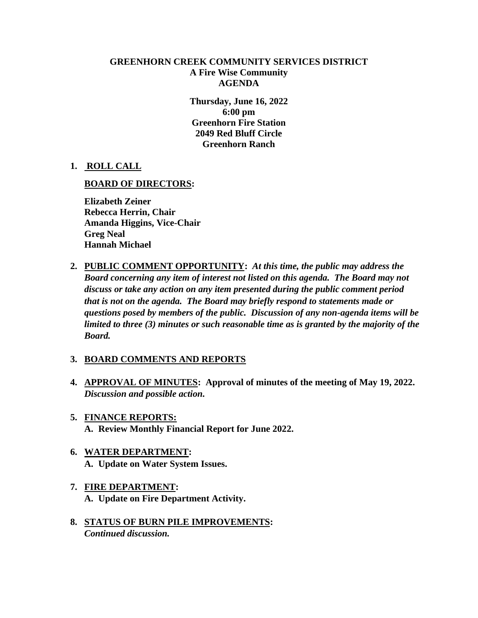## **GREENHORN CREEK COMMUNITY SERVICES DISTRICT A Fire Wise Community AGENDA**

**Thursday, June 16, 2022 6:00 pm Greenhorn Fire Station 2049 Red Bluff Circle Greenhorn Ranch**

**1. ROLL CALL**

## **BOARD OF DIRECTORS:**

**Elizabeth Zeiner Rebecca Herrin, Chair Amanda Higgins, Vice-Chair Greg Neal Hannah Michael**

**2. PUBLIC COMMENT OPPORTUNITY:** *At this time, the public may address the Board concerning any item of interest not listed on this agenda. The Board may not discuss or take any action on any item presented during the public comment period that is not on the agenda. The Board may briefly respond to statements made or questions posed by members of the public. Discussion of any non-agenda items will be limited to three (3) minutes or such reasonable time as is granted by the majority of the Board.*

## **3. BOARD COMMENTS AND REPORTS**

- **4. APPROVAL OF MINUTES: Approval of minutes of the meeting of May 19, 2022.** *Discussion and possible action.*
- **5. FINANCE REPORTS: A. Review Monthly Financial Report for June 2022.**
- **6. WATER DEPARTMENT: A. Update on Water System Issues.**
- **7. FIRE DEPARTMENT: A. Update on Fire Department Activity.**
- **8. STATUS OF BURN PILE IMPROVEMENTS:** *Continued discussion.*